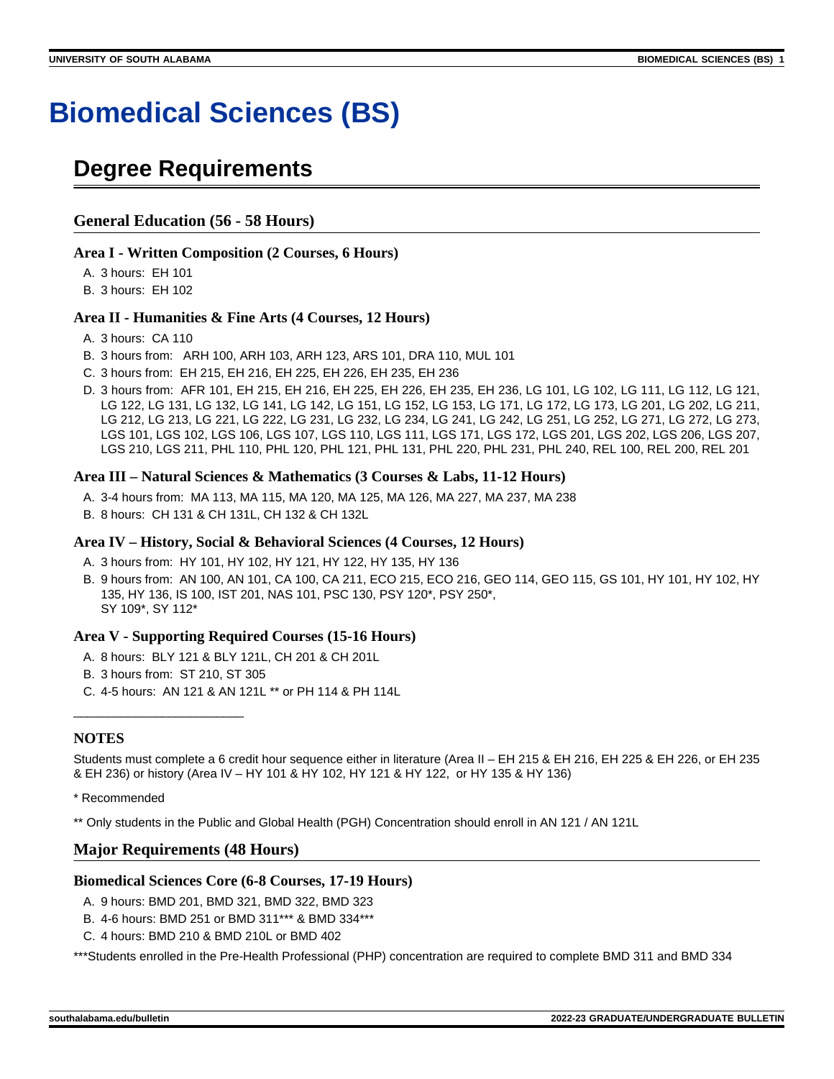# **Biomedical Sciences (BS)**

# **Degree Requirements**

# **General Education (56 - 58 Hours)**

#### **Area I - Written Composition (2 Courses, 6 Hours)**

A. 3 hours: EH 101

B. 3 hours: EH 102

#### **Area II - Humanities & Fine Arts (4 Courses, 12 Hours)**

- A. 3 hours: CA 110
- B. 3 hours from: ARH 100, ARH 103, ARH 123, ARS 101, DRA 110, MUL 101
- C. 3 hours from: EH 215, EH 216, EH 225, EH 226, EH 235, EH 236
- D. 3 hours from: AFR 101, EH 215, EH 216, EH 225, EH 226, EH 235, EH 236, LG 101, LG 102, LG 111, LG 112, LG 121, LG 122, LG 131, LG 132, LG 141, LG 142, LG 151, LG 152, LG 153, LG 171, LG 172, LG 173, LG 201, LG 202, LG 211, LG 212, LG 213, LG 221, LG 222, LG 231, LG 232, LG 234, LG 241, LG 242, LG 251, LG 252, LG 271, LG 272, LG 273, LGS 101, LGS 102, LGS 106, LGS 107, LGS 110, LGS 111, LGS 171, LGS 172, LGS 201, LGS 202, LGS 206, LGS 207, LGS 210, LGS 211, PHL 110, PHL 120, PHL 121, PHL 131, PHL 220, PHL 231, PHL 240, REL 100, REL 200, REL 201

#### **Area III – Natural Sciences & Mathematics (3 Courses & Labs, 11-12 Hours)**

- A. 3-4 hours from: MA 113, MA 115, MA 120, MA 125, MA 126, MA 227, MA 237, MA 238
- B. 8 hours: CH 131 & CH 131L, CH 132 & CH 132L

#### **Area IV – History, Social & Behavioral Sciences (4 Courses, 12 Hours)**

- A. 3 hours from: HY 101, HY 102, HY 121, HY 122, HY 135, HY 136
- B. 9 hours from: AN 100, AN 101, CA 100, CA 211, ECO 215, ECO 216, GEO 114, GEO 115, GS 101, HY 101, HY 102, HY 135, HY 136, IS 100, IST 201, NAS 101, PSC 130, PSY 120\*, PSY 250\*, SY 109\*, SY 112\*

#### **Area V - Supporting Required Courses (15-16 Hours)**

- A. 8 hours: BLY 121 & BLY 121L, CH 201 & CH 201L
- B. 3 hours from: ST 210, ST 305

\_\_\_\_\_\_\_\_\_\_\_\_\_\_\_\_\_\_\_\_\_\_\_\_\_

C. 4-5 hours: AN 121 & AN 121L \*\* or PH 114 & PH 114L

#### **NOTES**

Students must complete a 6 credit hour sequence either in literature (Area II – EH 215 & EH 216, EH 225 & EH 226, or EH 235 & EH 236) or history (Area IV – HY 101 & HY 102, HY 121 & HY 122, or HY 135 & HY 136)

\* Recommended

\*\* Only students in the Public and Global Health (PGH) Concentration should enroll in AN 121 / AN 121L

#### **Major Requirements (48 Hours)**

#### **Biomedical Sciences Core (6-8 Courses, 17-19 Hours)**

- A. 9 hours: BMD 201, BMD 321, BMD 322, BMD 323
- B. 4-6 hours: BMD 251 or BMD 311\*\*\* & BMD 334\*\*\*
- C. 4 hours: BMD 210 & BMD 210L or BMD 402

\*\*\*Students enrolled in the Pre-Health Professional (PHP) concentration are required to complete BMD 311 and BMD 334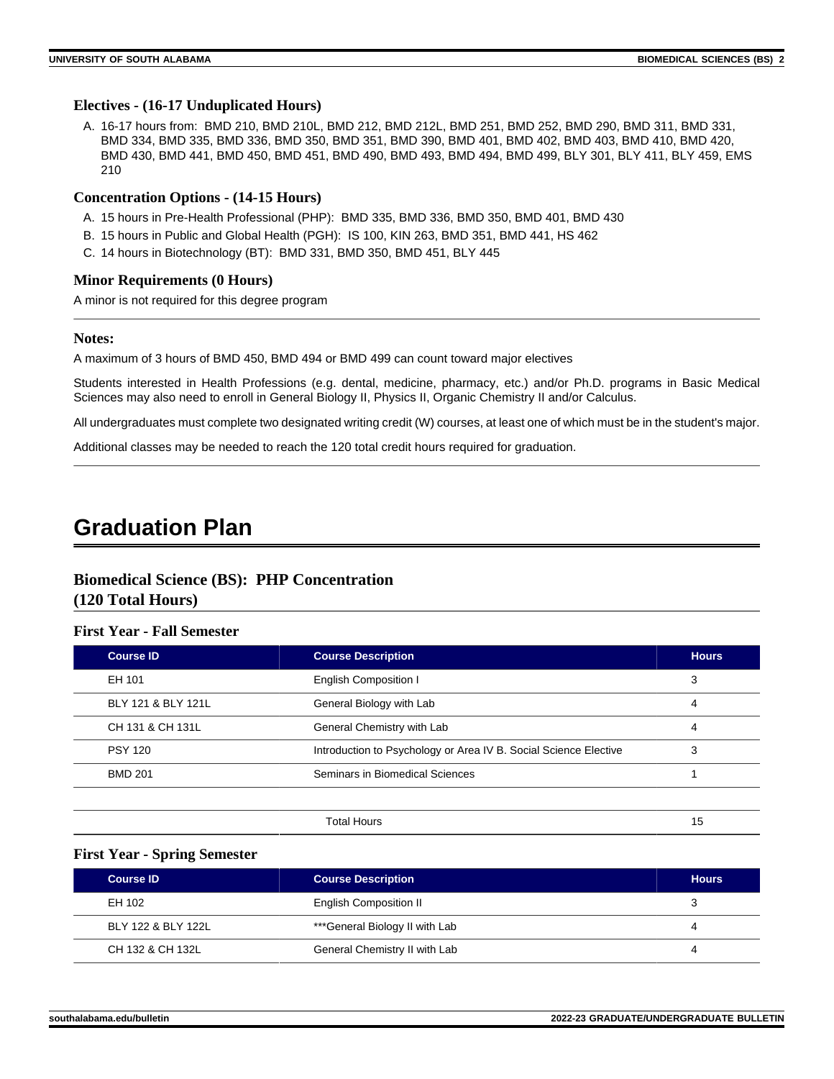#### **Electives - (16-17 Unduplicated Hours)**

A. 16-17 hours from: BMD 210, BMD 210L, BMD 212, BMD 212L, BMD 251, BMD 252, BMD 290, BMD 311, BMD 331, BMD 334, BMD 335, BMD 336, BMD 350, BMD 351, BMD 390, BMD 401, BMD 402, BMD 403, BMD 410, BMD 420, BMD 430, BMD 441, BMD 450, BMD 451, BMD 490, BMD 493, BMD 494, BMD 499, BLY 301, BLY 411, BLY 459, EMS 210

#### **Concentration Options - (14-15 Hours)**

- A. 15 hours in Pre-Health Professional (PHP): BMD 335, BMD 336, BMD 350, BMD 401, BMD 430
- B. 15 hours in Public and Global Health (PGH): IS 100, KIN 263, BMD 351, BMD 441, HS 462
- C. 14 hours in Biotechnology (BT): BMD 331, BMD 350, BMD 451, BLY 445

#### **Minor Requirements (0 Hours)**

A minor is not required for this degree program

#### **Notes:**

A maximum of 3 hours of BMD 450, BMD 494 or BMD 499 can count toward major electives

Students interested in Health Professions (e.g. dental, medicine, pharmacy, etc.) and/or Ph.D. programs in Basic Medical Sciences may also need to enroll in General Biology II, Physics II, Organic Chemistry II and/or Calculus.

All undergraduates must complete two designated writing credit (W) courses, at least one of which must be in the student's major.

Additional classes may be needed to reach the 120 total credit hours required for graduation.

# **Graduation Plan**

# **Biomedical Science (BS): PHP Concentration (120 Total Hours)**

#### **First Year - Fall Semester**

| <b>Course ID</b>   | <b>Course Description</b>                                        | <b>Hours</b> |
|--------------------|------------------------------------------------------------------|--------------|
| EH 101             | <b>English Composition I</b>                                     | 3            |
| BLY 121 & BLY 121L | General Biology with Lab                                         | 4            |
| CH 131 & CH 131L   | General Chemistry with Lab                                       | 4            |
| <b>PSY 120</b>     | Introduction to Psychology or Area IV B. Social Science Elective | 3            |
| <b>BMD 201</b>     | Seminars in Biomedical Sciences                                  |              |
|                    |                                                                  |              |

**Total Hours** 15

#### **First Year - Spring Semester**

| <b>Course ID</b>   | <b>Course Description</b>      | <b>Hours</b> |
|--------------------|--------------------------------|--------------|
| EH 102             | <b>English Composition II</b>  |              |
| BLY 122 & BLY 122L | ***General Biology II with Lab |              |
| CH 132 & CH 132L   | General Chemistry II with Lab  |              |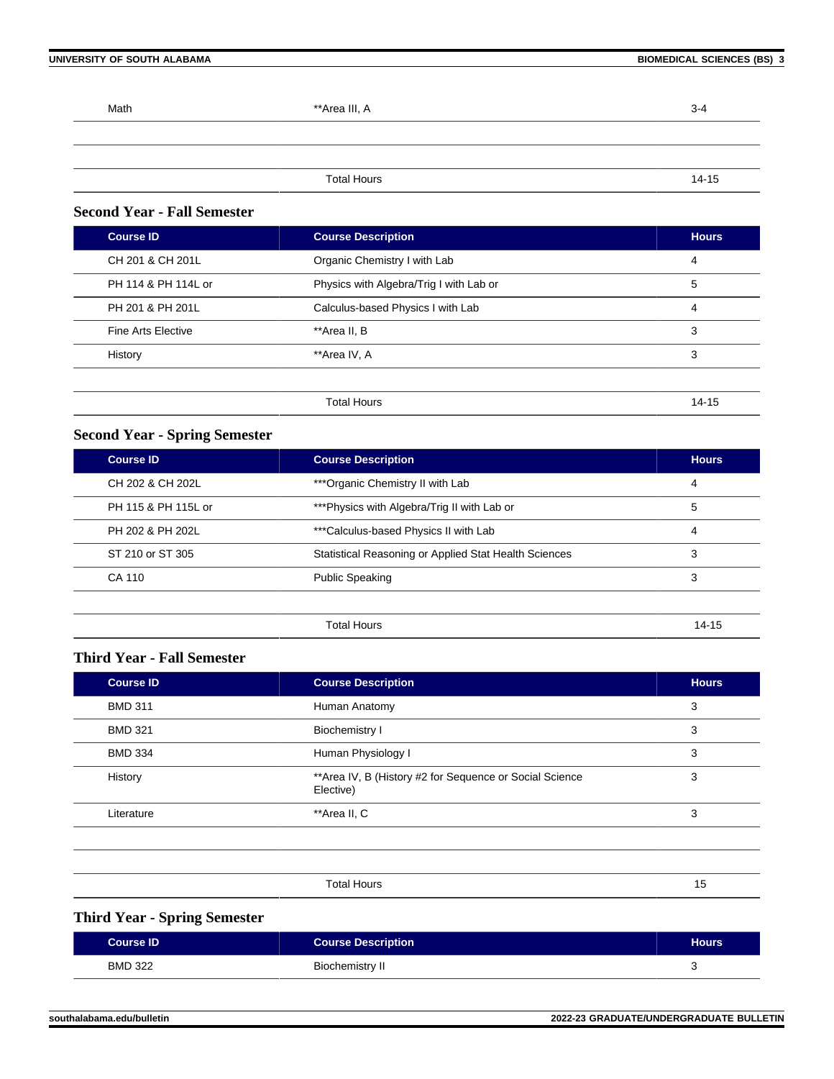| Math | **Area III, A      | $3 - 4$ |
|------|--------------------|---------|
|      |                    |         |
|      |                    |         |
|      | <b>Total Hours</b> | 14-15   |

# **Second Year - Fall Semester**

| <b>Course ID</b>    | <b>Course Description</b>               | <b>Hours</b> |
|---------------------|-----------------------------------------|--------------|
| CH 201 & CH 201L    | Organic Chemistry I with Lab            | 4            |
| PH 114 & PH 114L or | Physics with Algebra/Trig I with Lab or | 5            |
| PH 201 & PH 201L    | Calculus-based Physics I with Lab       | 4            |
| Fine Arts Elective  | **Area II, B                            | 3            |
| History             | **Area IV, A                            | 3            |
|                     |                                         |              |
|                     | <b>Total Hours</b>                      | $14 - 15$    |

# **Second Year - Spring Semester**

| <b>Course ID</b>    | <b>Course Description</b>                             | <b>Hours</b> |
|---------------------|-------------------------------------------------------|--------------|
| CH 202 & CH 202L    | ***Organic Chemistry II with Lab                      | 4            |
| PH 115 & PH 115L or | ***Physics with Algebra/Trig II with Lab or           | 5            |
| PH 202 & PH 202L    | ***Calculus-based Physics II with Lab                 | 4            |
| ST 210 or ST 305    | Statistical Reasoning or Applied Stat Health Sciences | 3            |
| CA 110              | <b>Public Speaking</b>                                | 3            |
|                     |                                                       |              |
|                     | <b>Total Hours</b>                                    | $14 - 15$    |

## **Third Year - Fall Semester**

| <b>Course ID</b> | <b>Course Description</b>                                             | <b>Hours</b> |
|------------------|-----------------------------------------------------------------------|--------------|
| <b>BMD 311</b>   | Human Anatomy                                                         | 3            |
| <b>BMD 321</b>   | <b>Biochemistry I</b>                                                 | 3            |
| <b>BMD 334</b>   | Human Physiology I                                                    | 3            |
| History          | ** Area IV, B (History #2 for Sequence or Social Science<br>Elective) | 3            |
| Literature       | **Area II, C                                                          | 3            |
|                  |                                                                       |              |

# **Third Year - Spring Semester**

| <b>Course ID</b> | <b>Course Description</b> | <b>Hours</b> |
|------------------|---------------------------|--------------|
| <b>BMD 322</b>   | Biochemistry II           |              |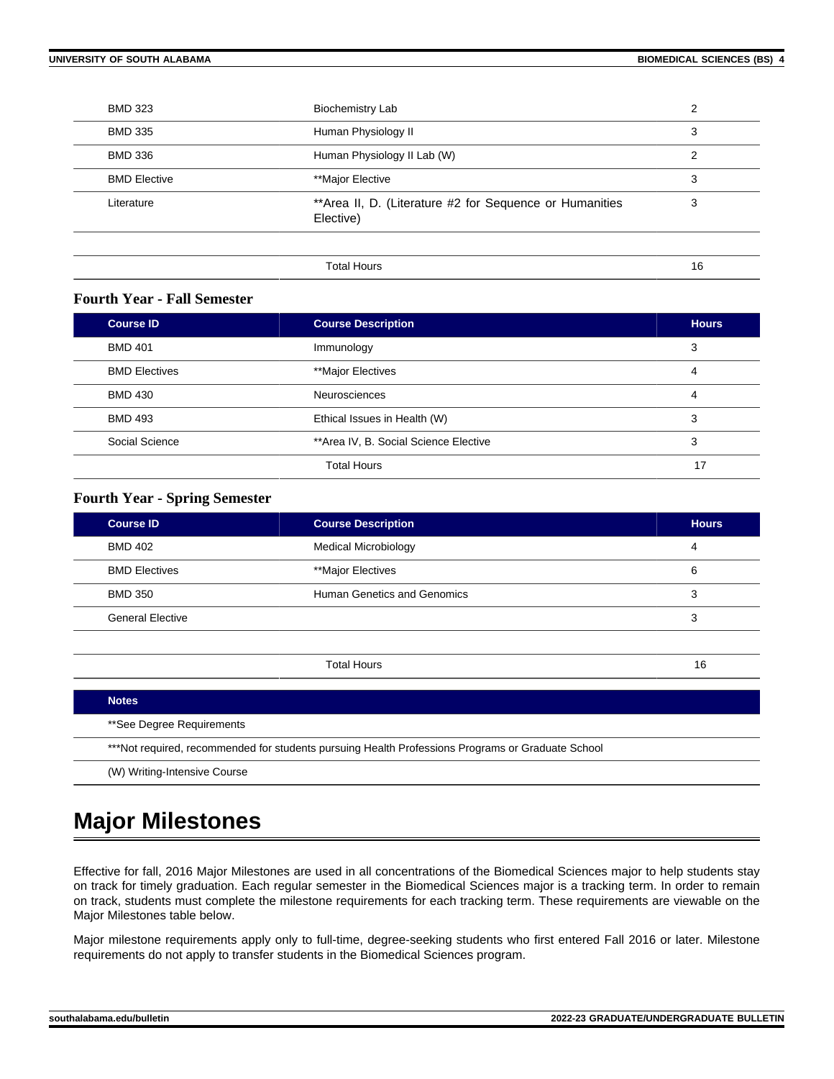| <b>BMD 323</b>      | <b>Biochemistry Lab</b>                                              | າ  |
|---------------------|----------------------------------------------------------------------|----|
| <b>BMD 335</b>      | Human Physiology II                                                  | 3  |
| <b>BMD 336</b>      | Human Physiology II Lab (W)                                          | 2  |
| <b>BMD Elective</b> | **Major Elective                                                     | 3  |
| Literature          | **Area II, D. (Literature #2 for Sequence or Humanities<br>Elective) | 3  |
|                     |                                                                      |    |
|                     | <b>Total Hours</b>                                                   | 16 |

# **Fourth Year - Fall Semester**

| <b>Course ID</b>     | <b>Course Description</b>             | <b>Hours</b> |
|----------------------|---------------------------------------|--------------|
| <b>BMD 401</b>       | Immunology                            | 3            |
| <b>BMD Electives</b> | **Major Electives                     | 4            |
| <b>BMD 430</b>       | <b>Neurosciences</b>                  | 4            |
| <b>BMD 493</b>       | Ethical Issues in Health (W)          | 3            |
| Social Science       | **Area IV, B. Social Science Elective | 3            |
|                      | <b>Total Hours</b>                    | 17           |

## **Fourth Year - Spring Semester**

| <b>Course ID</b>        | <b>Course Description</b>   | <b>Hours</b> |
|-------------------------|-----------------------------|--------------|
| <b>BMD 402</b>          | <b>Medical Microbiology</b> | 4            |
| <b>BMD Electives</b>    | **Major Electives           | 6            |
| <b>BMD 350</b>          | Human Genetics and Genomics | 3            |
| <b>General Elective</b> |                             | 3            |
|                         |                             |              |

| <b>Notes</b>                                                                                      |
|---------------------------------------------------------------------------------------------------|
| **See Degree Requirements                                                                         |
| ***Not required, recommended for students pursuing Health Professions Programs or Graduate School |
| (W) Writing-Intensive Course                                                                      |

Total Hours 16

# **Major Milestones**

Effective for fall, 2016 Major Milestones are used in all concentrations of the Biomedical Sciences major to help students stay on track for timely graduation. Each regular semester in the Biomedical Sciences major is a tracking term. In order to remain on track, students must complete the milestone requirements for each tracking term. These requirements are viewable on the Major Milestones table below.

Major milestone requirements apply only to full-time, degree-seeking students who first entered Fall 2016 or later. Milestone requirements do not apply to transfer students in the Biomedical Sciences program.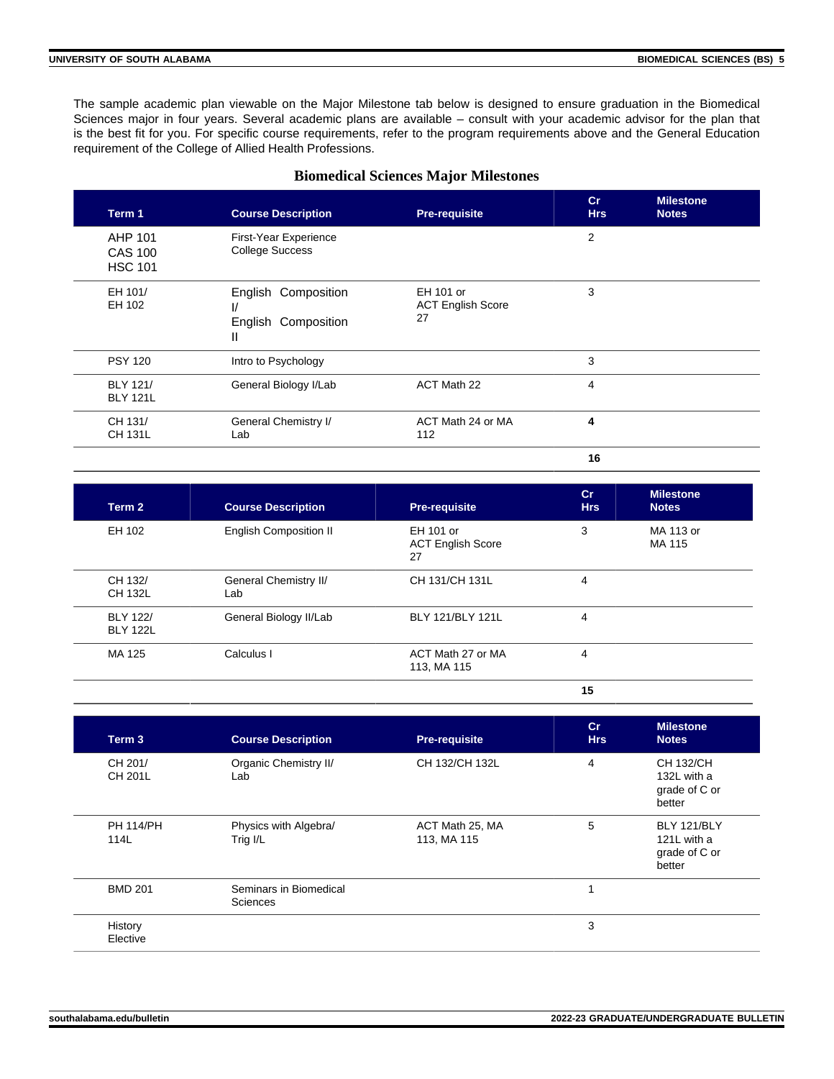The sample academic plan viewable on the Major Milestone tab below is designed to ensure graduation in the Biomedical Sciences major in four years. Several academic plans are available – consult with your academic advisor for the plan that is the best fit for you. For specific course requirements, refer to the program requirements above and the General Education requirement of the College of Allied Health Professions.

#### **Biomedical Sciences Major Milestones**

| Term 1                                      | <b>Course Description</b>                            | <b>Pre-requisite</b>                        | Cr<br><b>Hrs</b> | <b>Milestone</b><br><b>Notes</b> |
|---------------------------------------------|------------------------------------------------------|---------------------------------------------|------------------|----------------------------------|
| AHP 101<br><b>CAS 100</b><br><b>HSC 101</b> | First-Year Experience<br><b>College Success</b>      |                                             | $\overline{2}$   |                                  |
| EH 101/<br>EH 102                           | English Composition<br>V<br>English Composition<br>Ш | EH 101 or<br><b>ACT English Score</b><br>27 | 3                |                                  |
| <b>PSY 120</b>                              | Intro to Psychology                                  |                                             | 3                |                                  |
| <b>BLY 121/</b><br><b>BLY 121L</b>          | General Biology I/Lab                                | ACT Math 22                                 | 4                |                                  |
| CH 131/<br><b>CH 131L</b>                   | General Chemistry I/<br>Lab                          | ACT Math 24 or MA<br>112                    | 4                |                                  |
|                                             |                                                      |                                             | 16               |                                  |

**Term 2 Course Description Pre-requisite Cr Hrs Milestone Notes** EH 102 English Composition II EH 101 or ACT English Score 27 3 MA 113 or MA 115 CH 132/ CH 132L General Chemistry II/ Lab CH 131/CH 131L 4 BLY 122/ BLY 122L General Biology II/Lab BLY 121/BLY 121L 4 MA 125 Calculus I Calculus I ACT Math 27 or MA 113, MA 115 4

**15**

| Term 3                    | <b>Course Description</b>          | <b>Pre-requisite</b>           | cr<br><b>Hrs</b> | <b>Milestone</b><br><b>Notes</b>                      |
|---------------------------|------------------------------------|--------------------------------|------------------|-------------------------------------------------------|
| CH 201/<br><b>CH 201L</b> | Organic Chemistry II/<br>Lab       | CH 132/CH 132L                 | 4                | CH 132/CH<br>132L with a<br>grade of C or<br>better   |
| <b>PH 114/PH</b><br>114L  | Physics with Algebra/<br>Trig I/L  | ACT Math 25, MA<br>113, MA 115 | 5                | BLY 121/BLY<br>121L with a<br>grade of C or<br>better |
| <b>BMD 201</b>            | Seminars in Biomedical<br>Sciences |                                | 1                |                                                       |
| History<br>Elective       |                                    |                                | 3                |                                                       |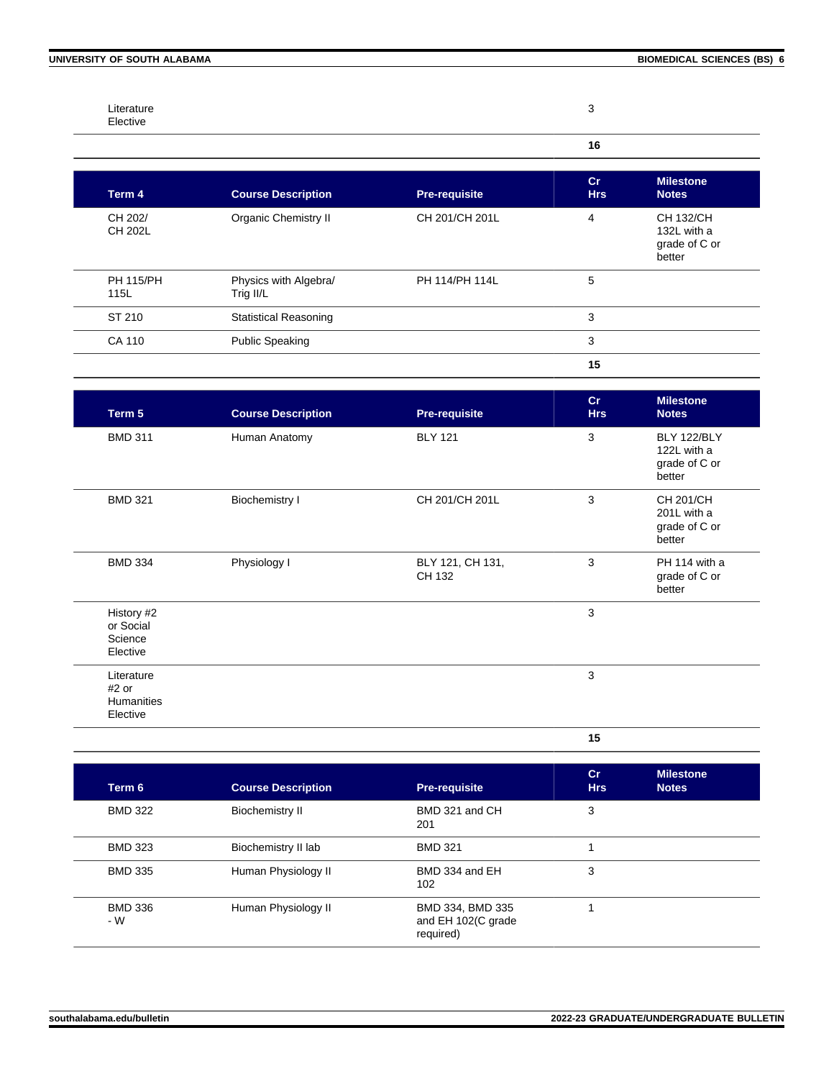CH 202/ CH 202L

PH 115/PH 115L

Organic Chemistry II CH 201/CH 201L 4 CH 132/CH

PH 114/PH 114L 5

**Term 4 Course Description Pre-requisite** 

Physics with Algebra/

Trig II/L

| ST 210                                          | <b>Statistical Reasoning</b> |                            | 3                |                                                       |
|-------------------------------------------------|------------------------------|----------------------------|------------------|-------------------------------------------------------|
| CA 110                                          | <b>Public Speaking</b>       |                            | 3                |                                                       |
|                                                 |                              |                            | 15               |                                                       |
| Term 5                                          | <b>Course Description</b>    | <b>Pre-requisite</b>       | cr<br><b>Hrs</b> | <b>Milestone</b><br><b>Notes</b>                      |
| <b>BMD 311</b>                                  | Human Anatomy                | <b>BLY 121</b>             | 3                | BLY 122/BLY<br>122L with a<br>grade of C or<br>better |
| <b>BMD 321</b>                                  | <b>Biochemistry I</b>        | CH 201/CH 201L             | 3                | CH 201/CH<br>201L with a<br>grade of C or<br>better   |
| <b>BMD 334</b>                                  | Physiology I                 | BLY 121, CH 131,<br>CH 132 | 3                | PH 114 with a<br>grade of C or<br>better              |
| History #2<br>or Social<br>Science<br>Elective  |                              |                            | 3                |                                                       |
| Literature<br>$#2$ or<br>Humanities<br>Elective |                              |                            | 3                |                                                       |

**15**

**Cr Hrs**

| Term 6                | <b>Course Description</b> | <b>Pre-requisite</b>                                | Cr<br><b>Hrs</b> | <b>Milestone</b><br><b>Notes</b> |
|-----------------------|---------------------------|-----------------------------------------------------|------------------|----------------------------------|
| <b>BMD 322</b>        | <b>Biochemistry II</b>    | BMD 321 and CH<br>201                               | 3                |                                  |
| <b>BMD 323</b>        | Biochemistry II lab       | <b>BMD 321</b>                                      |                  |                                  |
| <b>BMD 335</b>        | Human Physiology II       | BMD 334 and EH<br>102                               | 3                |                                  |
| <b>BMD 336</b><br>- W | Human Physiology II       | BMD 334, BMD 335<br>and EH 102(C grade<br>required) |                  |                                  |

**Milestone Notes**

132L with a grade of C or better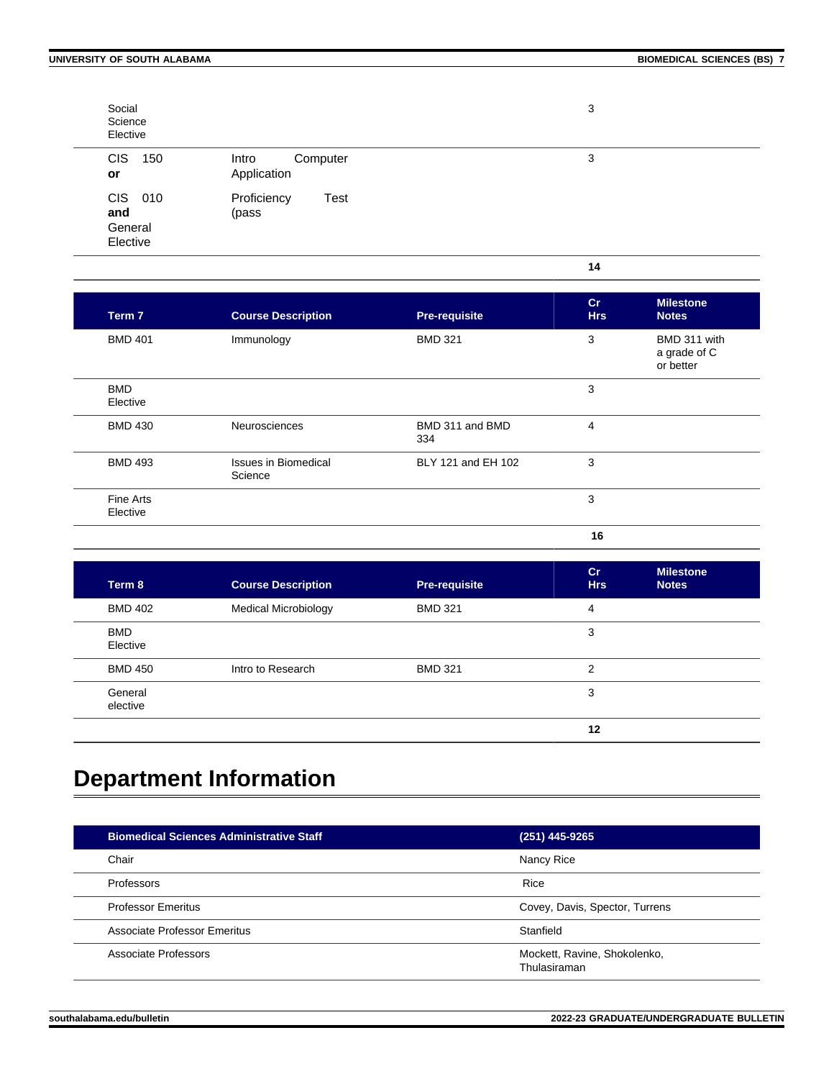**14**

| Social<br>Science<br>Elective         |                                  | 3 |
|---------------------------------------|----------------------------------|---|
| <b>CIS</b><br>150<br>or               | Intro<br>Computer<br>Application | 3 |
| CIS 010<br>and<br>General<br>Elective | Proficiency<br>Test<br>(pass     |   |

| Term 7                 | <b>Course Description</b>              | <b>Pre-requisite</b>   | cr<br><b>Hrs</b> | <b>Milestone</b><br><b>Notes</b>          |
|------------------------|----------------------------------------|------------------------|------------------|-------------------------------------------|
| <b>BMD 401</b>         | Immunology                             | <b>BMD 321</b>         | 3                | BMD 311 with<br>a grade of C<br>or better |
| <b>BMD</b><br>Elective |                                        |                        | 3                |                                           |
| <b>BMD 430</b>         | Neurosciences                          | BMD 311 and BMD<br>334 | 4                |                                           |
| <b>BMD 493</b>         | <b>Issues in Biomedical</b><br>Science | BLY 121 and EH 102     | 3                |                                           |
| Fine Arts<br>Elective  |                                        |                        | 3                |                                           |
|                        |                                        |                        | 16               |                                           |

| Term 8                 | <b>Course Description</b>   | <b>Pre-requisite</b> | cr<br><b>Hrs</b> | <b>Milestone</b><br><b>Notes</b> |
|------------------------|-----------------------------|----------------------|------------------|----------------------------------|
| <b>BMD 402</b>         | <b>Medical Microbiology</b> | <b>BMD 321</b>       | 4                |                                  |
| <b>BMD</b><br>Elective |                             |                      | 3                |                                  |
| <b>BMD 450</b>         | Intro to Research           | <b>BMD 321</b>       | $\overline{2}$   |                                  |
| General<br>elective    |                             |                      | 3                |                                  |
|                        |                             |                      | 12               |                                  |

# **Department Information**

| <b>Biomedical Sciences Administrative Staff</b> | (251) 445-9265                               |
|-------------------------------------------------|----------------------------------------------|
| Chair                                           | Nancy Rice                                   |
| Professors                                      | Rice                                         |
| <b>Professor Emeritus</b>                       | Covey, Davis, Spector, Turrens               |
| Associate Professor Emeritus                    | Stanfield                                    |
| Associate Professors                            | Mockett, Ravine, Shokolenko,<br>Thulasiraman |